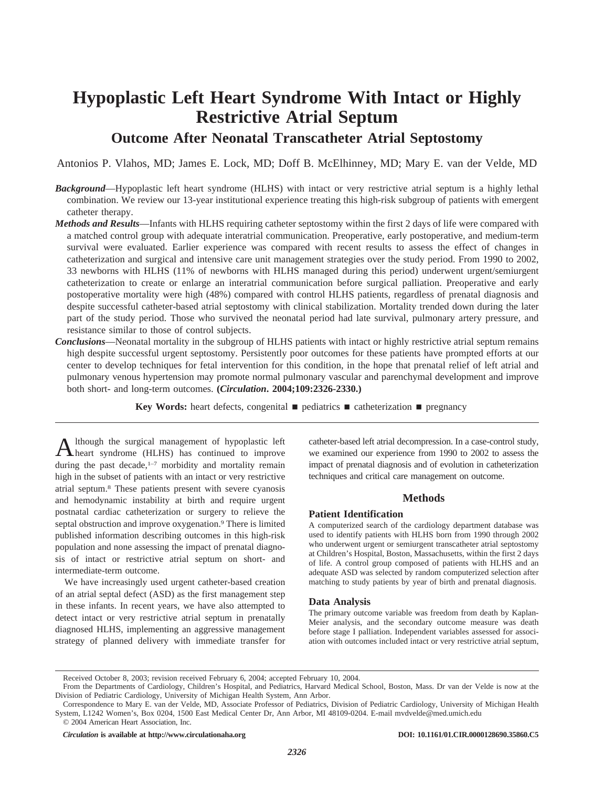# **Hypoplastic Left Heart Syndrome With Intact or Highly Restrictive Atrial Septum**

# **Outcome After Neonatal Transcatheter Atrial Septostomy**

Antonios P. Vlahos, MD; James E. Lock, MD; Doff B. McElhinney, MD; Mary E. van der Velde, MD

- *Background*—Hypoplastic left heart syndrome (HLHS) with intact or very restrictive atrial septum is a highly lethal combination. We review our 13-year institutional experience treating this high-risk subgroup of patients with emergent catheter therapy.
- *Methods and Results*—Infants with HLHS requiring catheter septostomy within the first 2 days of life were compared with a matched control group with adequate interatrial communication. Preoperative, early postoperative, and medium-term survival were evaluated. Earlier experience was compared with recent results to assess the effect of changes in catheterization and surgical and intensive care unit management strategies over the study period. From 1990 to 2002, 33 newborns with HLHS (11% of newborns with HLHS managed during this period) underwent urgent/semiurgent catheterization to create or enlarge an interatrial communication before surgical palliation. Preoperative and early postoperative mortality were high (48%) compared with control HLHS patients, regardless of prenatal diagnosis and despite successful catheter-based atrial septostomy with clinical stabilization. Mortality trended down during the later part of the study period. Those who survived the neonatal period had late survival, pulmonary artery pressure, and resistance similar to those of control subjects.
- *Conclusions*—Neonatal mortality in the subgroup of HLHS patients with intact or highly restrictive atrial septum remains high despite successful urgent septostomy. Persistently poor outcomes for these patients have prompted efforts at our center to develop techniques for fetal intervention for this condition, in the hope that prenatal relief of left atrial and pulmonary venous hypertension may promote normal pulmonary vascular and parenchymal development and improve both short- and long-term outcomes. **(***Circulation***. 2004;109:2326-2330.)**

**Key Words:** heart defects, congenital  $\blacksquare$  pediatrics  $\blacksquare$  catheterization  $\blacksquare$  pregnancy

Although the surgical management of hypoplastic left heart syndrome (HLHS) has continued to improve during the past decade, $1-7$  morbidity and mortality remain high in the subset of patients with an intact or very restrictive atrial septum.8 These patients present with severe cyanosis and hemodynamic instability at birth and require urgent postnatal cardiac catheterization or surgery to relieve the septal obstruction and improve oxygenation.<sup>9</sup> There is limited published information describing outcomes in this high-risk population and none assessing the impact of prenatal diagnosis of intact or restrictive atrial septum on short- and intermediate-term outcome.

We have increasingly used urgent catheter-based creation of an atrial septal defect (ASD) as the first management step in these infants. In recent years, we have also attempted to detect intact or very restrictive atrial septum in prenatally diagnosed HLHS, implementing an aggressive management strategy of planned delivery with immediate transfer for

catheter-based left atrial decompression. In a case-control study, we examined our experience from 1990 to 2002 to assess the impact of prenatal diagnosis and of evolution in catheterization techniques and critical care management on outcome.

# **Methods**

# **Patient Identification**

A computerized search of the cardiology department database was used to identify patients with HLHS born from 1990 through 2002 who underwent urgent or semiurgent transcatheter atrial septostomy at Children's Hospital, Boston, Massachusetts, within the first 2 days of life. A control group composed of patients with HLHS and an adequate ASD was selected by random computerized selection after matching to study patients by year of birth and prenatal diagnosis.

## **Data Analysis**

The primary outcome variable was freedom from death by Kaplan-Meier analysis, and the secondary outcome measure was death before stage I palliation. Independent variables assessed for association with outcomes included intact or very restrictive atrial septum,

*Circulation* is available at http://www.circulationaha.org DOI: 10.1161/01.CIR.0000128690.35860.C5

Received October 8, 2003; revision received February 6, 2004; accepted February 10, 2004.

From the Departments of Cardiology, Children's Hospital, and Pediatrics, Harvard Medical School, Boston, Mass. Dr van der Velde is now at the Division of Pediatric Cardiology, University of Michigan Health System, Ann Arbor.

Correspondence to Mary E. van der Velde, MD, Associate Professor of Pediatrics, Division of Pediatric Cardiology, University of Michigan Health System, L1242 Women's, Box 0204, 1500 East Medical Center Dr, Ann Arbor, MI 48109-0204. E-mail mvdvelde@med.umich.edu © 2004 American Heart Association, Inc.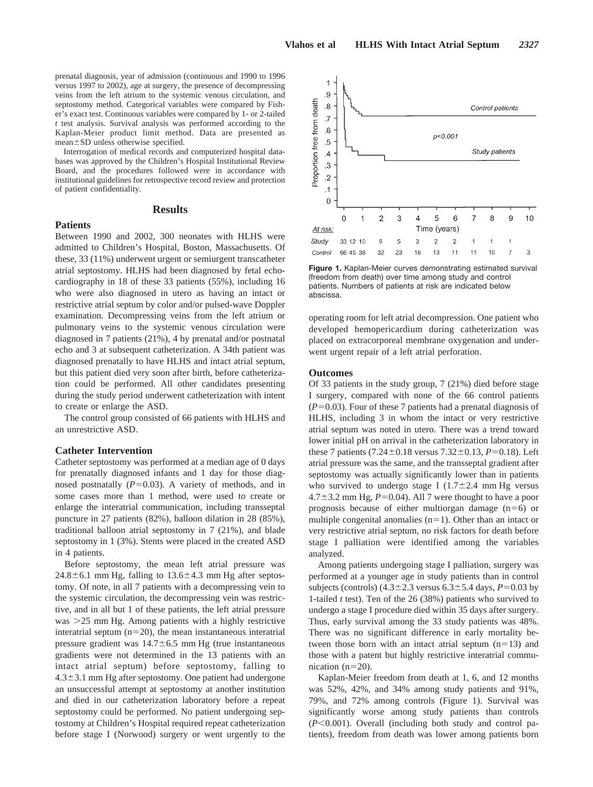prenatal diagnosis, year of admission (continuous and 1990 to 1996 versus 1997 to 2002), age at surgery, the presence of decompressing veins from the left atrium to the systemic venous circulation, and septostomy method. Categorical variables were compared by Fisher's exact test. Continuous variables were compared by 1- or 2-tailed *t* test analysis. Survival analysis was performed according to the Kaplan-Meier product limit method. Data are presented as mean±SD unless otherwise specified.

Interrogation of medical records and computerized hospital databases was approved by the Children's Hospital Institutional Review Board, and the procedures followed were in accordance with institutional guidelines for retrospective record review and protection of patient confidentiality.

#### **Results**

### **Patients**

Between 1990 and 2002, 300 neonates with HLHS were admitted to Children's Hospital, Boston, Massachusetts. Of these, 33 (11%) underwent urgent or semiurgent transcatheter atrial septostomy. HLHS had been diagnosed by fetal echocardiography in 18 of these 33 patients (55%), including 16 who were also diagnosed in utero as having an intact or restrictive atrial septum by color and/or pulsed-wave Doppler examination. Decompressing veins from the left atrium or pulmonary veins to the systemic venous circulation were diagnosed in 7 patients (21%), 4 by prenatal and/or postnatal echo and 3 at subsequent catheterization. A 34th patient was diagnosed prenatally to have HLHS and intact atrial septum, but this patient died very soon after birth, before catheterization could be performed. All other candidates presenting during the study period underwent catheterization with intent to create or enlarge the ASD.

The control group consisted of 66 patients with HLHS and an unrestrictive ASD.

#### **Catheter Intervention**

Catheter septostomy was performed at a median age of 0 days for prenatally diagnosed infants and 1 day for those diagnosed postnatally  $(P=0.03)$ . A variety of methods, and in some cases more than 1 method, were used to create or enlarge the interatrial communication, including transseptal puncture in 27 patients (82%), balloon dilation in 28 (85%), traditional balloon atrial septostomy in 7 (21%), and blade septostomy in 1 (3%). Stents were placed in the created ASD in 4 patients.

Before septostomy, the mean left atrial pressure was  $24.8 \pm 6.1$  mm Hg, falling to  $13.6 \pm 4.3$  mm Hg after septostomy. Of note, in all 7 patients with a decompressing vein to the systemic circulation, the decompressing vein was restrictive, and in all but 1 of these patients, the left atrial pressure was  $>25$  mm Hg. Among patients with a highly restrictive interatrial septum  $(n=20)$ , the mean instantaneous interatrial pressure gradient was  $14.7 \pm 6.5$  mm Hg (true instantaneous gradients were not determined in the 13 patients with an intact atrial septum) before septostomy, falling to  $4.3\pm3.1$  mm Hg after septostomy. One patient had undergone an unsuccessful attempt at septostomy at another institution and died in our catheterization laboratory before a repeat septostomy could be performed. No patient undergoing septostomy at Children's Hospital required repeat catheterization before stage I (Norwood) surgery or went urgently to the



**Figure 1.** Kaplan-Meier curves demonstrating estimated survival (freedom from death) over time among study and control patients. Numbers of patients at risk are indicated below abscissa.

operating room for left atrial decompression. One patient who developed hemopericardium during catheterization was placed on extracorporeal membrane oxygenation and underwent urgent repair of a left atrial perforation.

#### **Outcomes**

Of 33 patients in the study group, 7 (21%) died before stage I surgery, compared with none of the 66 control patients  $(P=0.03)$ . Four of these 7 patients had a prenatal diagnosis of HLHS, including 3 in whom the intact or very restrictive atrial septum was noted in utero. There was a trend toward lower initial pH on arrival in the catheterization laboratory in these 7 patients  $(7.24 \pm 0.18 \text{ versus } 7.32 \pm 0.13, P = 0.18)$ . Left atrial pressure was the same, and the transseptal gradient after septostomy was actually significantly lower than in patients who survived to undergo stage I  $(1.7 \pm 2.4 \text{ mm Hg}$  versus  $4.7 \pm 3.2$  mm Hg,  $P = 0.04$ ). All 7 were thought to have a poor prognosis because of either multiorgan damage  $(n=6)$  or multiple congenital anomalies  $(n=1)$ . Other than an intact or very restrictive atrial septum, no risk factors for death before stage I palliation were identified among the variables analyzed.

Among patients undergoing stage I palliation, surgery was performed at a younger age in study patients than in control subjects (controls)  $(4.3 \pm 2.3 \text{ versus } 6.3 \pm 5.4 \text{ days}, P = 0.03 \text{ by})$ 1-tailed *t* test). Ten of the 26 (38%) patients who survived to undergo a stage I procedure died within 35 days after surgery. Thus, early survival among the 33 study patients was 48%. There was no significant difference in early mortality between those born with an intact atrial septum  $(n=13)$  and those with a patent but highly restrictive interatrial communication  $(n=20)$ .

Kaplan-Meier freedom from death at 1, 6, and 12 months was 52%, 42%, and 34% among study patients and 91%, 79%, and 72% among controls (Figure 1). Survival was significantly worse among study patients than controls  $(P<0.001)$ . Overall (including both study and control patients), freedom from death was lower among patients born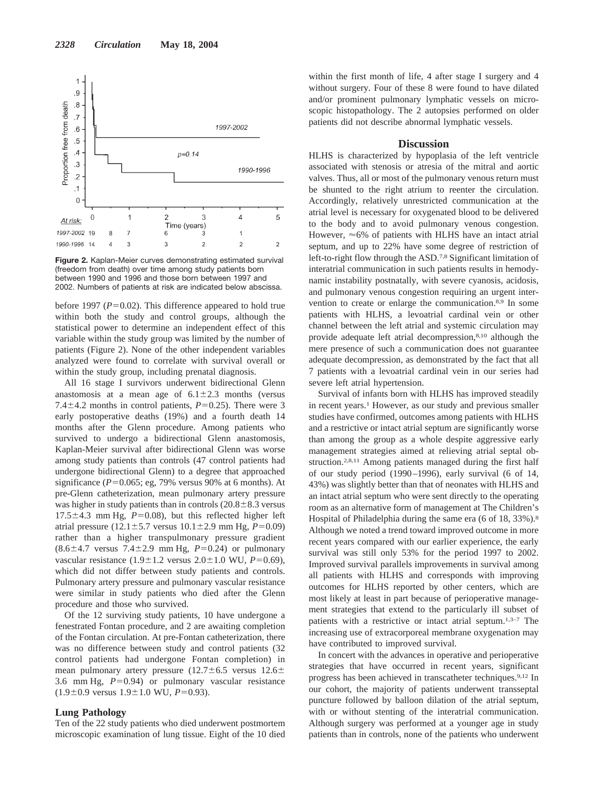

**Figure 2.** Kaplan-Meier curves demonstrating estimated survival (freedom from death) over time among study patients born between 1990 and 1996 and those born between 1997 and 2002. Numbers of patients at risk are indicated below abscissa.

before 1997 ( $P = 0.02$ ). This difference appeared to hold true within both the study and control groups, although the statistical power to determine an independent effect of this variable within the study group was limited by the number of patients (Figure 2). None of the other independent variables analyzed were found to correlate with survival overall or within the study group, including prenatal diagnosis.

All 16 stage I survivors underwent bidirectional Glenn anastomosis at a mean age of  $6.1 \pm 2.3$  months (versus 7.4 $\pm$ 4.2 months in control patients,  $P=0.25$ ). There were 3 early postoperative deaths (19%) and a fourth death 14 months after the Glenn procedure. Among patients who survived to undergo a bidirectional Glenn anastomosis, Kaplan-Meier survival after bidirectional Glenn was worse among study patients than controls (47 control patients had undergone bidirectional Glenn) to a degree that approached significance  $(P=0.065;$  eg, 79% versus 90% at 6 months). At pre-Glenn catheterization, mean pulmonary artery pressure was higher in study patients than in controls  $(20.8 \pm 8.3 \text{ versus}$  $17.5 \pm 4.3$  mm Hg,  $P = 0.08$ ), but this reflected higher left atrial pressure  $(12.1 \pm 5.7 \text{ versus } 10.1 \pm 2.9 \text{ mm Hg}, P = 0.09)$ rather than a higher transpulmonary pressure gradient  $(8.6 \pm 4.7 \text{ versus } 7.4 \pm 2.9 \text{ mm Hg}, P=0.24) \text{ or pullonary}$ vascular resistance  $(1.9 \pm 1.2 \text{ versus } 2.0 \pm 1.0 \text{ WU}, P=0.69)$ , which did not differ between study patients and controls. Pulmonary artery pressure and pulmonary vascular resistance were similar in study patients who died after the Glenn procedure and those who survived.

Of the 12 surviving study patients, 10 have undergone a fenestrated Fontan procedure, and 2 are awaiting completion of the Fontan circulation. At pre-Fontan catheterization, there was no difference between study and control patients (32 control patients had undergone Fontan completion) in mean pulmonary artery pressure  $(12.7 \pm 6.5$  versus  $12.6 \pm$ 3.6 mm Hg,  $P=0.94$ ) or pulmonary vascular resistance  $(1.9\pm0.9 \text{ versus } 1.9\pm1.0 \text{ WU}, P=0.93).$ 

#### **Lung Pathology**

Ten of the 22 study patients who died underwent postmortem microscopic examination of lung tissue. Eight of the 10 died

within the first month of life, 4 after stage I surgery and 4 without surgery. Four of these 8 were found to have dilated and/or prominent pulmonary lymphatic vessels on microscopic histopathology. The 2 autopsies performed on older patients did not describe abnormal lymphatic vessels.

#### **Discussion**

HLHS is characterized by hypoplasia of the left ventricle associated with stenosis or atresia of the mitral and aortic valves. Thus, all or most of the pulmonary venous return must be shunted to the right atrium to reenter the circulation. Accordingly, relatively unrestricted communication at the atrial level is necessary for oxygenated blood to be delivered to the body and to avoid pulmonary venous congestion. However,  $\approx$  6% of patients with HLHS have an intact atrial septum, and up to 22% have some degree of restriction of left-to-right flow through the ASD.<sup>7,8</sup> Significant limitation of interatrial communication in such patients results in hemodynamic instability postnatally, with severe cyanosis, acidosis, and pulmonary venous congestion requiring an urgent intervention to create or enlarge the communication.8,9 In some patients with HLHS, a levoatrial cardinal vein or other channel between the left atrial and systemic circulation may provide adequate left atrial decompression,<sup>8,10</sup> although the mere presence of such a communication does not guarantee adequate decompression, as demonstrated by the fact that all 7 patients with a levoatrial cardinal vein in our series had severe left atrial hypertension.

Survival of infants born with HLHS has improved steadily in recent years.<sup>1</sup> However, as our study and previous smaller studies have confirmed, outcomes among patients with HLHS and a restrictive or intact atrial septum are significantly worse than among the group as a whole despite aggressive early management strategies aimed at relieving atrial septal obstruction.<sup>2,8,11</sup> Among patients managed during the first half of our study period (1990–1996), early survival (6 of 14, 43%) was slightly better than that of neonates with HLHS and an intact atrial septum who were sent directly to the operating room as an alternative form of management at The Children's Hospital of Philadelphia during the same era (6 of 18, 33%).8 Although we noted a trend toward improved outcome in more recent years compared with our earlier experience, the early survival was still only 53% for the period 1997 to 2002. Improved survival parallels improvements in survival among all patients with HLHS and corresponds with improving outcomes for HLHS reported by other centers, which are most likely at least in part because of perioperative management strategies that extend to the particularly ill subset of patients with a restrictive or intact atrial septum.1,3–7 The increasing use of extracorporeal membrane oxygenation may have contributed to improved survival.

In concert with the advances in operative and perioperative strategies that have occurred in recent years, significant progress has been achieved in transcatheter techniques.9,12 In our cohort, the majority of patients underwent transseptal puncture followed by balloon dilation of the atrial septum, with or without stenting of the interatrial communication. Although surgery was performed at a younger age in study patients than in controls, none of the patients who underwent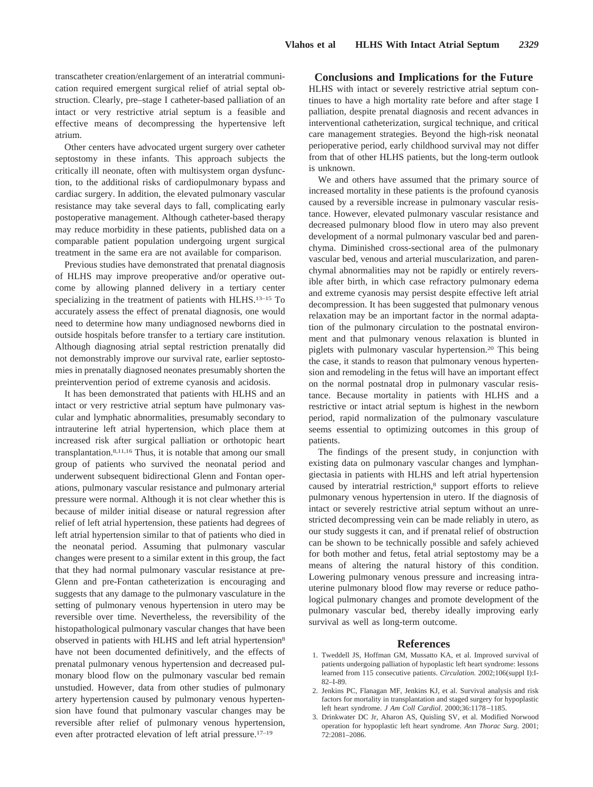transcatheter creation/enlargement of an interatrial communication required emergent surgical relief of atrial septal obstruction. Clearly, pre–stage I catheter-based palliation of an intact or very restrictive atrial septum is a feasible and effective means of decompressing the hypertensive left atrium.

Other centers have advocated urgent surgery over catheter septostomy in these infants. This approach subjects the critically ill neonate, often with multisystem organ dysfunction, to the additional risks of cardiopulmonary bypass and cardiac surgery. In addition, the elevated pulmonary vascular resistance may take several days to fall, complicating early postoperative management. Although catheter-based therapy may reduce morbidity in these patients, published data on a comparable patient population undergoing urgent surgical treatment in the same era are not available for comparison.

Previous studies have demonstrated that prenatal diagnosis of HLHS may improve preoperative and/or operative outcome by allowing planned delivery in a tertiary center specializing in the treatment of patients with HLHS.<sup>13-15</sup> To accurately assess the effect of prenatal diagnosis, one would need to determine how many undiagnosed newborns died in outside hospitals before transfer to a tertiary care institution. Although diagnosing atrial septal restriction prenatally did not demonstrably improve our survival rate, earlier septostomies in prenatally diagnosed neonates presumably shorten the preintervention period of extreme cyanosis and acidosis.

It has been demonstrated that patients with HLHS and an intact or very restrictive atrial septum have pulmonary vascular and lymphatic abnormalities, presumably secondary to intrauterine left atrial hypertension, which place them at increased risk after surgical palliation or orthotopic heart transplantation.8,11,16 Thus, it is notable that among our small group of patients who survived the neonatal period and underwent subsequent bidirectional Glenn and Fontan operations, pulmonary vascular resistance and pulmonary arterial pressure were normal. Although it is not clear whether this is because of milder initial disease or natural regression after relief of left atrial hypertension, these patients had degrees of left atrial hypertension similar to that of patients who died in the neonatal period. Assuming that pulmonary vascular changes were present to a similar extent in this group, the fact that they had normal pulmonary vascular resistance at pre-Glenn and pre-Fontan catheterization is encouraging and suggests that any damage to the pulmonary vasculature in the setting of pulmonary venous hypertension in utero may be reversible over time. Nevertheless, the reversibility of the histopathological pulmonary vascular changes that have been observed in patients with HLHS and left atrial hypertension8 have not been documented definitively, and the effects of prenatal pulmonary venous hypertension and decreased pulmonary blood flow on the pulmonary vascular bed remain unstudied. However, data from other studies of pulmonary artery hypertension caused by pulmonary venous hypertension have found that pulmonary vascular changes may be reversible after relief of pulmonary venous hypertension, even after protracted elevation of left atrial pressure.17–19

# **Conclusions and Implications for the Future**

HLHS with intact or severely restrictive atrial septum continues to have a high mortality rate before and after stage I palliation, despite prenatal diagnosis and recent advances in interventional catheterization, surgical technique, and critical care management strategies. Beyond the high-risk neonatal perioperative period, early childhood survival may not differ from that of other HLHS patients, but the long-term outlook is unknown.

We and others have assumed that the primary source of increased mortality in these patients is the profound cyanosis caused by a reversible increase in pulmonary vascular resistance. However, elevated pulmonary vascular resistance and decreased pulmonary blood flow in utero may also prevent development of a normal pulmonary vascular bed and parenchyma. Diminished cross-sectional area of the pulmonary vascular bed, venous and arterial muscularization, and parenchymal abnormalities may not be rapidly or entirely reversible after birth, in which case refractory pulmonary edema and extreme cyanosis may persist despite effective left atrial decompression. It has been suggested that pulmonary venous relaxation may be an important factor in the normal adaptation of the pulmonary circulation to the postnatal environment and that pulmonary venous relaxation is blunted in piglets with pulmonary vascular hypertension.20 This being the case, it stands to reason that pulmonary venous hypertension and remodeling in the fetus will have an important effect on the normal postnatal drop in pulmonary vascular resistance. Because mortality in patients with HLHS and a restrictive or intact atrial septum is highest in the newborn period, rapid normalization of the pulmonary vasculature seems essential to optimizing outcomes in this group of patients.

The findings of the present study, in conjunction with existing data on pulmonary vascular changes and lymphangiectasia in patients with HLHS and left atrial hypertension caused by interatrial restriction,8 support efforts to relieve pulmonary venous hypertension in utero. If the diagnosis of intact or severely restrictive atrial septum without an unrestricted decompressing vein can be made reliably in utero, as our study suggests it can, and if prenatal relief of obstruction can be shown to be technically possible and safely achieved for both mother and fetus, fetal atrial septostomy may be a means of altering the natural history of this condition. Lowering pulmonary venous pressure and increasing intrauterine pulmonary blood flow may reverse or reduce pathological pulmonary changes and promote development of the pulmonary vascular bed, thereby ideally improving early survival as well as long-term outcome.

#### **References**

- 1. Tweddell JS, Hoffman GM, Mussatto KA, et al. Improved survival of patients undergoing palliation of hypoplastic left heart syndrome: lessons learned from 115 consecutive patients. *Circulation.* 2002;106(suppl I):I-82–I-89.
- 2. Jenkins PC, Flanagan MF, Jenkins KJ, et al. Survival analysis and risk factors for mortality in transplantation and staged surgery for hypoplastic left heart syndrome. *J Am Coll Cardiol*. 2000;36:1178–1185.
- 3. Drinkwater DC Jr, Aharon AS, Quisling SV, et al. Modified Norwood operation for hypoplastic left heart syndrome. *Ann Thorac Surg*. 2001; 72:2081–2086.